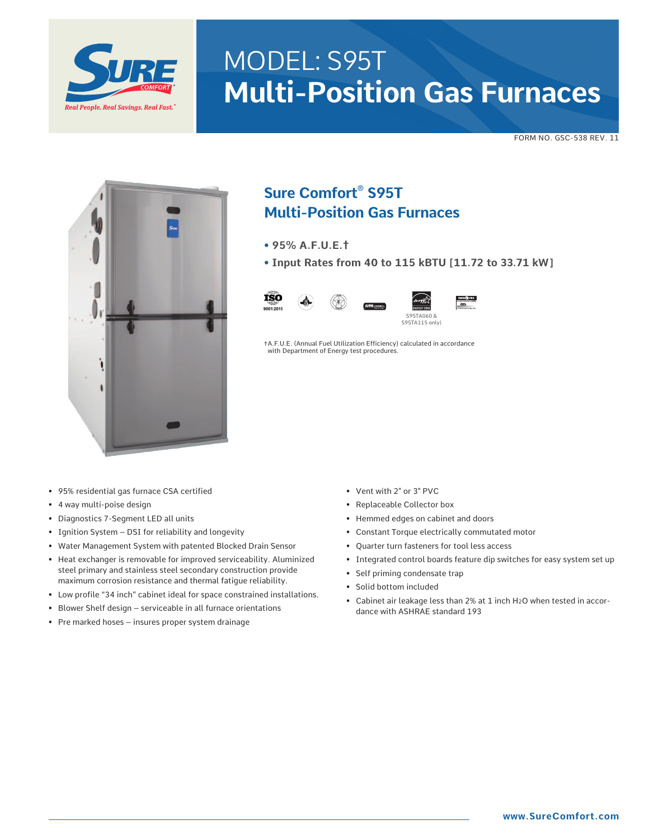

# MODEL: S95T **Multi-Position Gas Furnaces**

FORM NO. GSC-538 REV. 11



# **Sure Comfort® S95T Multi-Position Gas Furnaces**

- **95% A.F.U.E.†**
- **Input Rates from 40 to 115 kBTU [11.72 to 33.71 kW]**



✝A.F.U.E. (Annual Fuel Utilization Efficiency) calculated in accordance with Department of Energy test procedures.

- 95% residential gas furnace CSA certified
- 4 way multi-poise design
- Diagnostics 7-Segment LED all units
- Ignition System DSI for reliability and longevity
- Water Management System with patented Blocked Drain Sensor
- Heat exchanger is removable for improved serviceability. Aluminized steel primary and stainless steel secondary construction provide maximum corrosion resistance and thermal fatigue reliability.
- Low profile "34 inch" cabinet ideal for space constrained installations.
- Blower Shelf design serviceable in all furnace orientations
- Pre marked hoses insures proper system drainage
- Vent with 2" or 3" PVC
- Replaceable Collector box
- Hemmed edges on cabinet and doors
- Constant Torque electrically commutated motor
- Quarter turn fasteners for tool less access
- Integrated control boards feature dip switches for easy system set up
- Self priming condensate trap
- Solid bottom included
- Cabinet air leakage less than 2% at 1 inch H2O when tested in accordance with ASHRAE standard 193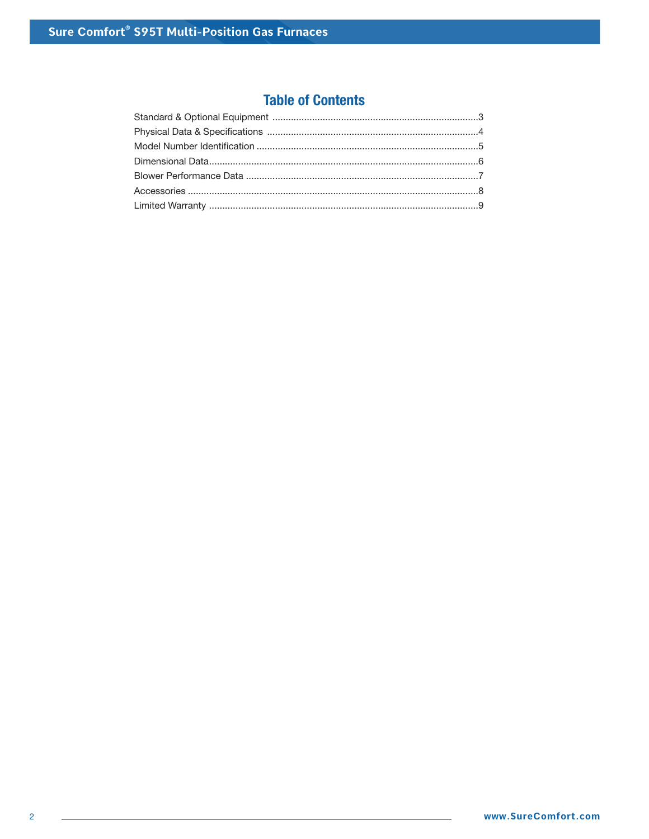# **Table of Contents**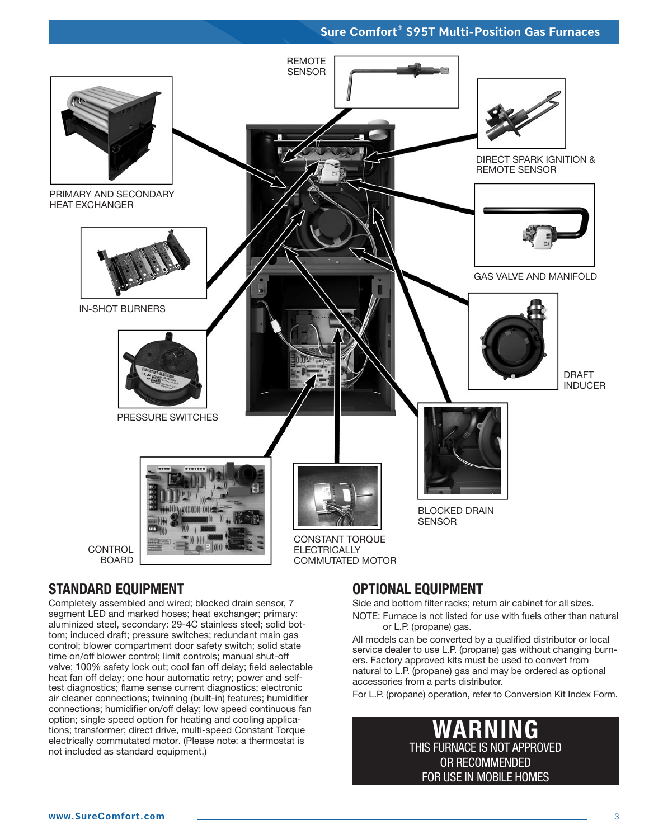

# **STANDARD EQUIPMENT**

Completely assembled and wired; blocked drain sensor, 7 segment LED and marked hoses; heat exchanger; primary: aluminized steel, secondary: 29-4C stainless steel; solid bottom; induced draft; pressure switches; redundant main gas control; blower compartment door safety switch; solid state time on/off blower control; limit controls; manual shut-off valve; 100% safety lock out; cool fan off delay; field selectable heat fan off delay; one hour automatic retry; power and selftest diagnostics; flame sense current diagnostics; electronic air cleaner connections; twinning (built-in) features; humidifier connections; humidifier on/off delay; low speed continuous fan option; single speed option for heating and cooling applications; transformer; direct drive, multi-speed Constant Torque electrically commutated motor. (Please note: a thermostat is not included as standard equipment.)

# **OPTIONAL EQUIPMENT**

Side and bottom filter racks; return air cabinet for all sizes.

NOTE: Furnace is not listed for use with fuels other than natural or L.P. (propane) gas.

All models can be converted by a qualified distributor or local service dealer to use L.P. (propane) gas without changing burners. Factory approved kits must be used to convert from natural to L.P. (propane) gas and may be ordered as optional accessories from a parts distributor.

For L.P. (propane) operation, refer to Conversion Kit Index Form.

# **WARNING** THIS FURNACE IS NOT APPROVED OR RECOMMENDED FOR USE IN MOBILE HOMES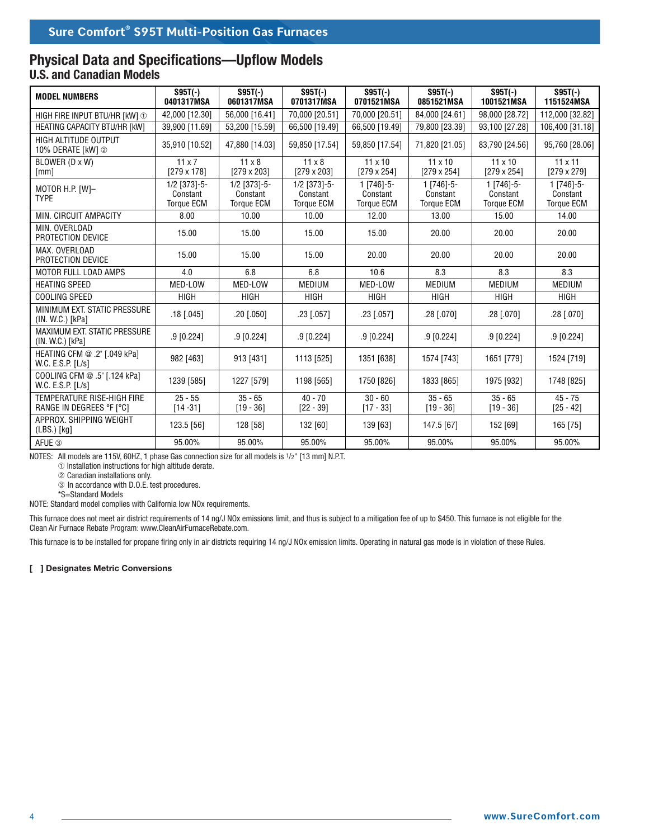#### **Physical Data and Specifications—Upflow Models U.S. and Canadian Models**

| <b>MODEL NUMBERS</b>                                          | $S95T(-)$<br>0401317MSA                         | $S95T(-)$<br>0601317MSA                       | $S95T(-)$<br>0701317MSA                         | $S95T(-)$<br>0701521MSA                     | $S95T(-)$<br>0851521MSA                     | $S95T(-)$<br>1001521MSA                       | $S95T(-)$<br>1151524MSA                       |
|---------------------------------------------------------------|-------------------------------------------------|-----------------------------------------------|-------------------------------------------------|---------------------------------------------|---------------------------------------------|-----------------------------------------------|-----------------------------------------------|
| HIGH FIRE INPUT BTU/HR [kW] $\odot$                           | 42,000 [12.30]                                  | 56,000 [16.41]                                | 70,000 [20.51]                                  | 70,000 [20.51]                              | 84,000 [24.61]                              | 98,000 [28.72]                                | 112,000 [32.82]                               |
| HEATING CAPACITY BTU/HR [kW]                                  | 39,900 [11.69]                                  | 53,200 [15.59]                                | 66,500 [19.49]                                  | 66,500 [19.49]                              | 79,800 [23.39]                              | 93,100 [27.28]                                | 106,400 [31.18]                               |
| HIGH ALTITUDE OUTPUT<br>10% DERATE [kW] 2                     | 35,910 [10.52]                                  | 47,880 [14.03]                                | 59,850 [17.54]                                  | 59,850 [17.54]                              | 71,820 [21.05]                              | 83,790 [24.56]                                | 95,760 [28.06]                                |
| BLOWER (D x W)<br>[mm]                                        | $11 \times 7$<br>$[279 \times 178]$             | $11 \times 8$<br>$[279 \times 203]$           | $11 \times 8$<br>$[279 \times 203]$             | $11 \times 10$<br>$[279 \times 254]$        | $11 \times 10$<br>$[279 \times 254]$        | $11 \times 10$<br>$[279 \times 254]$          | $11 \times 11$<br>$[279 \times 279]$          |
| MOTOR H.P. [W]-<br><b>TYPE</b>                                | $1/2$ [373]-5-<br>Constant<br><b>Torque ECM</b> | 1/2 [373]-5-<br>Constant<br><b>Torque ECM</b> | $1/2$ [373]-5-<br>Constant<br><b>Torque ECM</b> | 1 [746]-5-<br>Constant<br><b>Torque ECM</b> | 1 [746]-5-<br>Constant<br><b>Torque ECM</b> | $1 [746]-5-$<br>Constant<br><b>Torque ECM</b> | $1$ [746]-5-<br>Constant<br><b>Torque ECM</b> |
| MIN. CIRCUIT AMPACITY                                         | 8.00                                            | 10.00                                         | 10.00                                           | 12.00                                       | 13.00                                       | 15.00                                         | 14.00                                         |
| MIN. OVERLOAD<br>PROTECTION DEVICE                            | 15.00                                           | 15.00                                         | 15.00                                           | 15.00                                       | 20.00                                       | 20.00                                         | 20.00                                         |
| MAX. OVERLOAD<br>PROTECTION DEVICE                            | 15.00                                           | 15.00                                         | 15.00                                           | 20.00                                       | 20.00                                       | 20.00                                         | 20.00                                         |
| MOTOR FULL LOAD AMPS                                          | 4.0                                             | 6.8                                           | 6.8                                             | 10.6                                        | 8.3                                         | 8.3                                           | 8.3                                           |
| <b>HEATING SPEED</b>                                          | MED-LOW                                         | MED-LOW                                       | <b>MEDIUM</b>                                   | MED-LOW                                     | <b>MEDIUM</b>                               | <b>MEDIUM</b>                                 | <b>MEDIUM</b>                                 |
| COOLING SPEED                                                 | <b>HIGH</b>                                     | <b>HIGH</b>                                   | <b>HIGH</b>                                     | <b>HIGH</b>                                 | <b>HIGH</b>                                 | <b>HIGH</b>                                   | <b>HIGH</b>                                   |
| MINIMUM EXT. STATIC PRESSURE<br>(IN. W.C.) [kPa]              | $.18$ [.045]                                    | .20 [.050]                                    | .23 [.057]                                      | $.23$ [.057]                                | $.28$ [.070]                                | .28 [.070]                                    | $.28$ [.070]                                  |
| <b>MAXIMUM EXT. STATIC PRESSURE</b><br>(IN. W.C.) [kPa]       | $.9$ [0.224]                                    | $.9$ [0.224]                                  | $.9$ [0.224]                                    | $.9$ [0.224]                                | $.9$ [0.224]                                | $.9$ [0.224]                                  | $.9$ [0.224]                                  |
| HEATING CFM @ .2" [.049 kPa]<br>W.C. E.S.P. [L/s]             | 982 [463]                                       | 913 [431]                                     | 1113 [525]                                      | 1351 [638]                                  | 1574 [743]                                  | 1651 [779]                                    | 1524 [719]                                    |
| COOLING CFM @ .5" [.124 kPa]<br>W.C. E.S.P. $[L/s]$           | 1239 [585]                                      | 1227 [579]                                    | 1198 [565]                                      | 1750 [826]                                  | 1833 [865]                                  | 1975 [932]                                    | 1748 [825]                                    |
| <b>TEMPERATURE RISE-HIGH FIRE</b><br>RANGE IN DEGREES °F [°C] | $25 - 55$<br>$[14 - 31]$                        | $35 - 65$<br>$[19 - 36]$                      | $40 - 70$<br>$[22 - 39]$                        | $30 - 60$<br>$[17 - 33]$                    | $35 - 65$<br>$[19 - 36]$                    | $35 - 65$<br>$[19 - 36]$                      | $45 - 75$<br>$[25 - 42]$                      |
| APPROX. SHIPPING WEIGHT<br>$(LBS.)$ [kg]                      | 123.5 [56]                                      | 128 [58]                                      | 132 [60]                                        | 139 [63]                                    | 147.5 [67]                                  | 152 [69]                                      | 165 [75]                                      |
| AFUE <sup>3</sup>                                             | 95.00%                                          | 95.00%                                        | 95.00%                                          | 95.00%                                      | 95.00%                                      | 95.00%                                        | 95.00%                                        |

NOTES: All models are 115V, 60HZ, 1 phase Gas connection size for all models is 1/2" [13 mm] N.P.T.

➀ Installation instructions for high altitude derate.

➁ Canadian installations only.

 ➂ In accordance with D.O.E. test procedures. \*S=Standard Models

NOTE: Standard model complies with California low NOx requirements.

This furnace does not meet air district requirements of 14 ng/J NOx emissions limit, and thus is subject to a mitigation fee of up to \$450. This furnace is not eligible for the Clean Air Furnace Rebate Program: www.CleanAirFurnaceRebate.com.

This furnace is to be installed for propane firing only in air districts requiring 14 ng/J NOx emission limits. Operating in natural gas mode is in violation of these Rules.

#### **[ ] Designates Metric Conversions**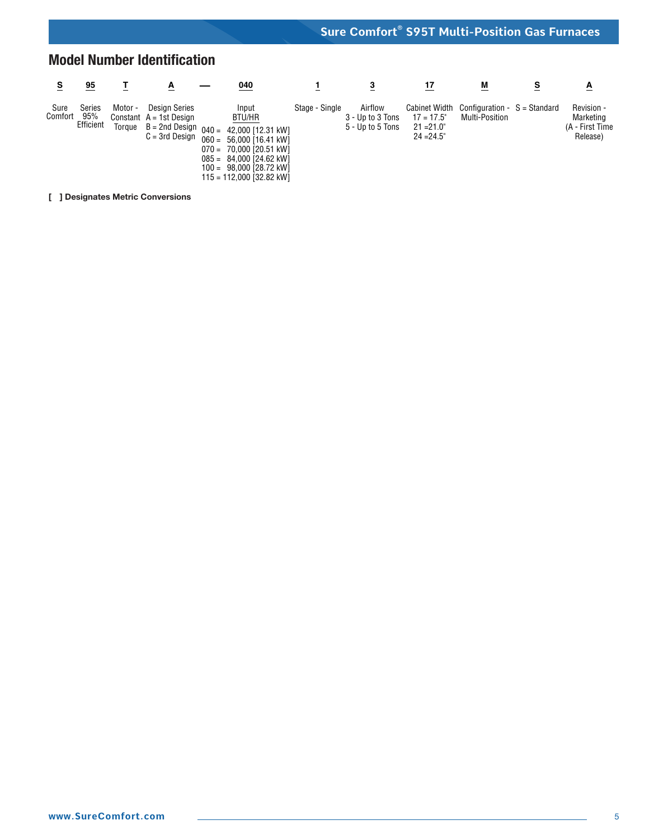# **Model Number Identification**

|                 | 95                         |                   | A                                                                     | 040                                                                                                                                                                                                           |                | 3                                               | 17                                                                    | M                                                      | s | A                                                      |
|-----------------|----------------------------|-------------------|-----------------------------------------------------------------------|---------------------------------------------------------------------------------------------------------------------------------------------------------------------------------------------------------------|----------------|-------------------------------------------------|-----------------------------------------------------------------------|--------------------------------------------------------|---|--------------------------------------------------------|
| Sure<br>Comfort | Series<br>95%<br>Efficient | Motor -<br>Toraue | <b>Design Series</b><br>Constant $A = 1st$ Design<br>$C = 3rd$ Desian | Input<br>BTU/HR<br>$B = 2nd$ Design $040 = 42,000$ [12.31 kW]<br>$060 = 56,000$ [16.41 kW]<br>$070 = 70,000$ [20.51 kW]<br>$085 = 84,000$ [24.62 kW]<br>$100 = 98,000$ [28.72 kW]<br>115 = 112.000 [32.82 kW] | Stage - Single | Airflow<br>3 - Up to 3 Tons<br>5 - Up to 5 Tons | <b>Cabinet Width</b><br>$17 = 17.5$ "<br>$21 = 21.0$<br>$24 = 24.5$ " | Configuration $-S =$ Standard<br><b>Multi-Position</b> |   | Revision -<br>Marketing<br>(A - First Time<br>Release) |

**[ ] Designates Metric Conversions**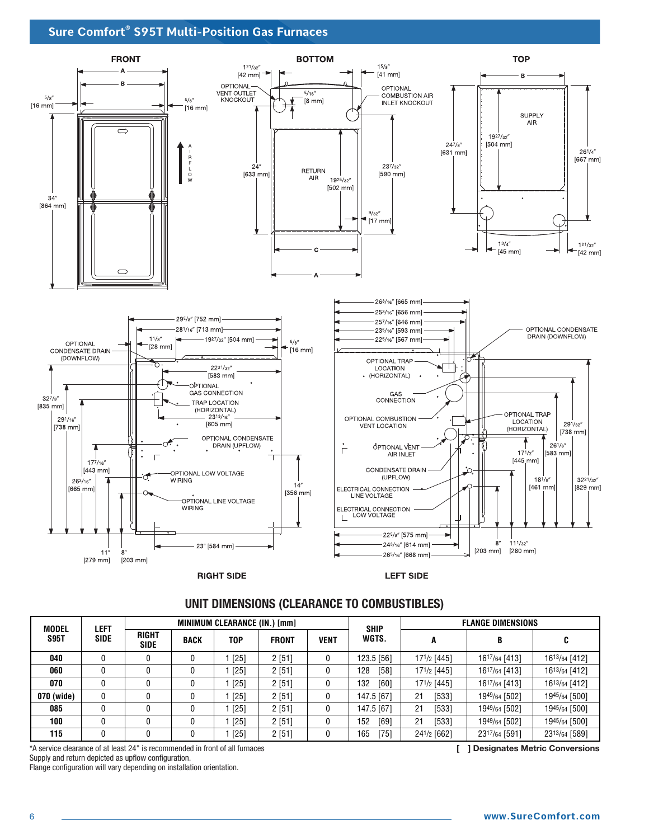

**RIGHT SIDE** 

**LEFT SIDE** 

#### **UNIT DIMENSIONS (CLEARANCE TO COMBUSTIBLES)**

| <b>MODEL</b> | <b>LEFT</b> |                             |             | MINIMUM CLEARANCE (IN.) [mm] |              |             | <b>SHIP</b> |             | <b>FLANGE DIMENSIONS</b> |               |
|--------------|-------------|-----------------------------|-------------|------------------------------|--------------|-------------|-------------|-------------|--------------------------|---------------|
| <b>S95T</b>  | <b>SIDE</b> | <b>RIGHT</b><br><b>SIDE</b> | <b>BACK</b> | T <sub>0</sub> P             | <b>FRONT</b> | <b>VENT</b> | WGTS.       |             | B                        | C             |
| 040          |             |                             | U           | [25]                         | 2[51]        |             | 123.5 [56]  | 171/2 [445] | 1617/64 [413]            | 1613/64 [412] |
| 060          |             |                             | 0           | [25]                         | 2[51]        |             | 128<br>[58] | 171/2 [445] | 1617/64 [413]            | 1613/64 [412] |
| 070          |             |                             |             | [25]                         | 2[51]        |             | 132<br>[60] | 171/2 [445] | 1617/64 [413]            | 1613/64 [412] |
| 070 (wide)   |             |                             |             | [25]                         | 2[51]        |             | 147.5 [67]  | [533]<br>21 | 1949/64 [502]            | 1945/64 [500] |
| 085          |             |                             |             | [25]                         | 2[51]        |             | 147.5 [67]  | [533]<br>21 | 1949/64 [502]            | 1945/64 [500] |
| 100          |             |                             |             | [25]                         | 2[51]        |             | 152<br>[69] | [533]<br>21 | 1949/64 [502]            | 1945/64 [500] |
| 115          |             |                             |             | [25]                         | 2[51]        |             | [75]<br>165 | 241/2 [662] | 2317/64 [591]            | 2313/64 [589] |

\*A service clearance of at least 24" is recommended in front of all furnaces **[ ] Designates Metric Conversions** Supply and return depicted as upflow configuration. Flange configuration will vary depending on installation orientation.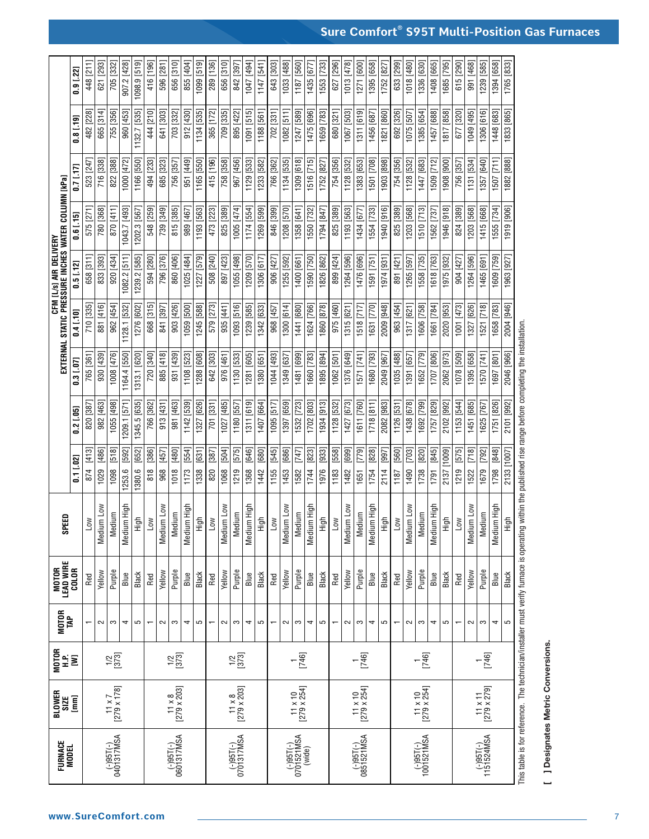| $1187$ [560]<br>1336 [630]<br>643 [303]<br>1271 [600]<br>1395 [658]<br>1018 [480]<br>1394 [658]<br>1765 [833]<br>1033 [488]<br>1553 [733]<br>[296]<br>1013 [478]<br>633 [299]<br>615 [290]<br>991 [468]<br>1239 [585]<br>1098.9 [519]<br>1408 [665]<br>1685 [795]<br>1047 [494]<br>1435 [677]<br>1752 [827]<br>$0.9$ $[.22]$<br>627<br>1311 [619]<br>1833 [865]<br>665 [314]<br>641 [303]<br>895 [422]<br>1247 [589]<br>1448 [683]<br>755 [356]<br>444 [210]<br>703 [332]<br>1134 [535]<br>365 [172]<br>1188 [561]<br>702 [331]<br>1475 [696]<br>680 [321]<br>1067 [503]<br>692 [326]<br>1075 [507]<br>1385 [654]<br>1457 [688]<br>677 [320]<br>1049 [495]<br>1306 [616]<br>$\overline{1132.7}$ [535]<br>912 [430]<br>709 [335]<br>1091 [515]<br>$1082$ [511]<br>1659 [783]<br>1456 [687]<br>1821 [860]<br>1817 [858]<br>482 [228]<br>960 [453]<br>$0.8$ [.19]<br>1309 [618]<br>1882 [888]<br>716 [338]<br>822 [388]<br>494 [233]<br>685 [323]<br>415 [196]<br>$\frac{1}{967}$ [456]<br>766 [362]<br>1134 [535]<br>1516 [715]<br>754 [356]<br>1383 [653]<br>1501 [708]<br>1509 [712]<br>1507 [711]<br>1000 [472]<br>951 [449]<br>1165 [550]<br>758 [358]<br>1129 [533]<br>1233 [582]<br>1128 [532]<br>754 [356]<br>1128 [532]<br>1447 [683]<br>1908 [900]<br>1131 [534]<br>1166 [550]<br>756 [357]<br>1903 [898]<br>1357 [640]<br>523 [247]<br>1752   827<br>756 [357]<br>0.7117<br>$1005$ [474]<br>1554 [733]<br>1555 [734]<br>1919 [906]<br>870 [411]<br>548 [259]<br>739 [349]<br>815 [385]<br>473 [223]<br>1269 [599]<br>846 [399]<br>1358 [641]<br>1203 [568]<br>1510 [713]<br>1203 [568]<br>780 [368]<br>1193 [563]<br>825 [389]<br>1174 [554]<br>1208 [570]<br>1550 [732]<br>825 [389]<br>1193 [563]<br>1940 [916]<br>825 [389]<br>1946 [918]<br>824 [389]<br>1043.7 [493]<br>1434 [677]<br>1415 [668]<br>1202.3 [567]<br>989 [467]<br>1794   847<br>1562 [737]<br>575 [271<br>$0.6$ [.15]<br>1963 [927]<br>833 [393]<br>508 [240]<br>1055 [498]<br>1476 [696]<br>920 [434]<br>796 [376]<br>860 [406]<br>1227 [579]<br>1400 [661]<br>899 [424]<br>1264 [596]<br>1558 [735]<br>1264 [596]<br>1609 [759]<br>594 [280]<br>1025 [484]<br>897 [423]<br>1209 [570]<br>1306 [617]<br>1590 [750]<br>1826   862<br>1591 [751]<br>891 [421]<br>1265 [597]<br>1618 [763]<br>658 [311]<br>1082.2 [511]<br>1239.2 [585]<br>906 [427]<br>1255 [592]<br>1975 [932]<br>904 [427]<br>1465 [691<br>1974 [931]<br>$0.5$ [.12]<br>2004 [946]<br>$\frac{1}{1093}$ [516]<br>710 [335]<br>881 [416]<br>962 [454]<br>668 [315]<br>903 [426]<br>1245 [588]<br>579 [273]<br>1342 [633]<br>$\sqrt{1300}$ [614]<br>1441 [680]<br>1624 [766]<br>1631 [770]<br>2009 [948]<br>1317 [621]<br>1606 [758]<br>1001 [473]<br>1327 [626]<br>1521 [718]<br>1658 [783]<br>1128.1 [532]<br>1276 [602]<br>1059 [500]<br>1239 [585]<br>968 [457]<br>1860   878<br>975 [460]<br>1315 [621]<br>1518 [717]<br>963 [454]<br>1661 [784]<br>2020 [953]<br>841 [397]<br>935 [441]<br>0.4 [.10]<br>2046 [966]<br>930 [439]<br>1008 [476]<br>720 [340]<br>885 [418]<br>642 [303]<br>1130 [533]<br>1044 [493]<br>1481 [699]<br>1660 [783]<br>1680 [793]<br>1652 [779]<br>1078 [509]<br>1395 [658]<br>931 [439]<br>1288 [608]<br>1281 [605]<br>$1062$ $[501]$<br>1376 [649]<br>1571 [741]<br>1035 [488]<br>1391 [657]<br>1707 [806]<br>2062 [973]<br>1697 [801]<br>1164.4 [550]<br>1313.1 [620]<br>1108 [523]<br>1380 [651]<br>1349 [637]<br>1895   894<br>2049 [967]<br>976 [461<br>1570 [741]<br>765 [361]<br>$0.3$ [.07]<br>2101 [992]<br>1055 [498]<br>1611 [760]<br>1751 [826]<br>982 [463]<br>1345.5 [635]<br>913 [431]<br>981 [463]<br>1327 [626]<br>701 [331]<br>1407 [664]<br>1532 [723]<br>1702 [803]<br>1934 [913]<br>1427 [673]<br>1438 [678]<br>1692 [799]<br>1451 [685]<br>766 [362]<br>$\frac{1027}{185}$<br>1180 [557]<br>1311 [619]<br>$1095$ $[517]$<br>1397 [659]<br>1128 [532]<br>1718 [811]<br>2082 [983]<br>1757 [829]<br>2102 [992]<br>$1153$ $[544]$<br>1142 [539]<br>$1126$ $[531]$<br>1625   767<br>820 [387<br>1209.1 [571<br>$0.2$ [.05]<br>[518]<br>[575]<br>[545]<br>[823]<br>[779]<br>[828]<br>$[703]$<br>[820]<br>[718]<br>[848]<br>[413]<br>[486]<br>[386]<br>[480]<br>[387]<br>[646]<br>[680]<br>[686]<br>[933]<br>[558]<br>[699]<br>$\frac{[997]}{[560]}$<br>[845]<br>[575]<br>2133 [1007]<br>[592]<br>[457]<br>[554]<br>[631]<br>[504]<br>$[747]$<br>2137 [1009]<br>[792]<br>[652]<br>0.11.02<br>1098<br>820<br>818<br>1253.6<br>1490<br>1029<br>1219<br>1155<br>1453<br>1754<br>1522<br>1798<br>874<br>1380.6<br>968<br>1018<br>1173<br>1338<br>1068<br>1368<br>1744<br>1976<br>2114<br>1738<br>1219<br>1679<br>1442<br>1582<br>1183<br>1482<br>1651<br>1791<br>$\frac{187}{1}$<br>Medium High<br>Medium High<br>Medium High<br>Medium High<br>Medium High<br>Medium High<br>Medium High<br>Medium Low<br>Medium Low<br>Medium Low<br>Medium Low<br>Medium Low<br>Medium Low<br>Medium Low<br>Medium<br>Medium<br>Medium<br>Medium<br>Medium<br>Medium<br>Medium<br>High<br>Fligh<br>High<br>High<br>High<br>High<br>High<br><b>NOT</b><br>Low<br>Low<br>Low<br>Low<br>Low<br>Low<br>MOTOR<br>Lead Wire<br>Color<br>Purple<br>Yellow<br>Yellow<br>Purple<br>Yellow<br>Purple<br>Purple<br>Yellow<br>Purple<br>Purple<br>Yellow<br>Yellow<br>Yellow<br>Purple<br>Black<br>Black<br>Black<br>Black<br>Black<br>Black<br>Black<br>Blue<br>Blue<br>Blue<br>Blue<br>Blue<br>Blue<br>Blue<br>Red<br>Red<br>Red<br>Red<br>Red<br>Red<br>Red<br>$\sim$<br>S<br>4<br>5<br>$\sim$<br>S<br>5<br>S<br>4<br>5<br>S<br>$\mathfrak{c}$<br>S<br>5<br>$\sim$<br>S<br>4<br>$\sim$<br>$\sim$<br>4<br>$\sim$<br>4<br>4<br>5<br>$\sim$<br>S<br>4<br>5<br>$\overline{\phantom{0}}$<br>$\overline{\phantom{0}}$<br>$\overline{\phantom{0}}$<br>$\overline{\phantom{0}}$<br>$\overline{\phantom{0}}$<br>$\frac{1}{1}$<br>$\frac{a}{2}$ $\geq$<br>[746]<br>[746]<br>$\frac{1}{1746}$<br>$^{1/2}_{[373]}$<br>$^{1/2}_{[373]}$<br>$^{1/2}_{[373]}$<br>11 x 10<br>[279 x 254]<br>$11 \times 11$<br>[279 x 279]<br>$\frac{11 \times 7}{279 \times 178}$<br>$\begin{array}{c} 11 \times 8 \\ 279 \times 203 \end{array}$<br>$\frac{11 \times 10}{[279 \times 254]}$<br>$11 \times 10$<br>[279 x 254]<br>$\begin{array}{c} 11 \times 8 \\ [279 \times 203] \end{array}$<br>$\overline{\Xi}$<br>$(-)95T(-)$<br>0401317MSA<br>$(-)95T(-)$<br>0601317MSA<br>$\binom{(-)95T(-)}{0701317MSA}$<br>$(-)95T(-)$<br>0701521MSA<br>$(-)95T(-)$<br>0851521MSA<br>$(-)95T(-)$<br>1001521MSA<br>$(-)95T(-)$ 1151524MSA<br>(wide) | This table is for reference. The technician/installer must verify furnace is operating within the published rise range before completing the installation.<br><b>] Designates Metric Conversions.</b> | FURNACE<br>Model | <b>BLOWER</b><br>Size | MOTOR<br>Tap | SPEED |  | EXTERNAL |  | CFM [l/s] air delivery<br>Static Pressure inches water column (kpa) |  |             |
|-----------------------------------------------------------------------------------------------------------------------------------------------------------------------------------------------------------------------------------------------------------------------------------------------------------------------------------------------------------------------------------------------------------------------------------------------------------------------------------------------------------------------------------------------------------------------------------------------------------------------------------------------------------------------------------------------------------------------------------------------------------------------------------------------------------------------------------------------------------------------------------------------------------------------------------------------------------------------------------------------------------------------------------------------------------------------------------------------------------------------------------------------------------------------------------------------------------------------------------------------------------------------------------------------------------------------------------------------------------------------------------------------------------------------------------------------------------------------------------------------------------------------------------------------------------------------------------------------------------------------------------------------------------------------------------------------------------------------------------------------------------------------------------------------------------------------------------------------------------------------------------------------------------------------------------------------------------------------------------------------------------------------------------------------------------------------------------------------------------------------------------------------------------------------------------------------------------------------------------------------------------------------------------------------------------------------------------------------------------------------------------------------------------------------------------------------------------------------------------------------------------------------------------------------------------------------------------------------------------------------------------------------------------------------------------------------------------------------------------------------------------------------------------------------------------------------------------------------------------------------------------------------------------------------------------------------------------------------------------------------------------------------------------------------------------------------------------------------------------------------------------------------------------------------------------------------------------------------------------------------------------------------------------------------------------------------------------------------------------------------------------------------------------------------------------------------------------------------------------------------------------------------------------------------------------------------------------------------------------------------------------------------------------------------------------------------------------------------------------------------------------------------------------------------------------------------------------------------------------------------------------------------------------------------------------------------------------------------------------------------------------------------------------------------------------------------------------------------------------------------------------------------------------------------------------------------------------------------------------------------------------------------------------------------------------------------------------------------------------------------------------------------------------------------------------------------------------------------------------------------------------------------------------------------------------------------------------------------------------------------------------------------------------------------------------------------------------------------------------------------------------------------------------------------------------------------------------------------------------------------------------------------------------------------------------------------------------------------------------------------------------------------------------------------------------------------------------------------------------------------------------------------------------------------------------------------------------------------------------------------------------------------------------------------------------------------------------------------------------------------------------------------------------------------------------------------------------------------------------------------------------------------------------------------------------------------------------------------------------------------------------------------------------------------------------------------------------------------------------------------------------------------------------------------------------------------------------------------------------------------------------------------------------------------------------------------------------------------------------------------------------------------------------------------------------------------------------------------------------------------------------------------------------------------------------------------------------------------------------------------------------------------------------------------------------------------------------------------------------------------------------------------------------------------------------------------------------------------------|-------------------------------------------------------------------------------------------------------------------------------------------------------------------------------------------------------|------------------|-----------------------|--------------|-------|--|----------|--|---------------------------------------------------------------------|--|-------------|
|                                                                                                                                                                                                                                                                                                                                                                                                                                                                                                                                                                                                                                                                                                                                                                                                                                                                                                                                                                                                                                                                                                                                                                                                                                                                                                                                                                                                                                                                                                                                                                                                                                                                                                                                                                                                                                                                                                                                                                                                                                                                                                                                                                                                                                                                                                                                                                                                                                                                                                                                                                                                                                                                                                                                                                                                                                                                                                                                                                                                                                                                                                                                                                                                                                                                                                                                                                                                                                                                                                                                                                                                                                                                                                                                                                                                                                                                                                                                                                                                                                                                                                                                                                                                                                                                                                                                                                                                                                                                                                                                                                                                                                                                                                                                                                                                                                                                                                                                                                                                                                                                                                                                                                                                                                                                                                                                                                                                                                                                                                                                                                                                                                                                                                                                                                                                                                                                                                                                                                                                                                                                                                                                                                                                                                                                                                                                                                                                                                                                             |                                                                                                                                                                                                       |                  |                       |              |       |  |          |  |                                                                     |  |             |
|                                                                                                                                                                                                                                                                                                                                                                                                                                                                                                                                                                                                                                                                                                                                                                                                                                                                                                                                                                                                                                                                                                                                                                                                                                                                                                                                                                                                                                                                                                                                                                                                                                                                                                                                                                                                                                                                                                                                                                                                                                                                                                                                                                                                                                                                                                                                                                                                                                                                                                                                                                                                                                                                                                                                                                                                                                                                                                                                                                                                                                                                                                                                                                                                                                                                                                                                                                                                                                                                                                                                                                                                                                                                                                                                                                                                                                                                                                                                                                                                                                                                                                                                                                                                                                                                                                                                                                                                                                                                                                                                                                                                                                                                                                                                                                                                                                                                                                                                                                                                                                                                                                                                                                                                                                                                                                                                                                                                                                                                                                                                                                                                                                                                                                                                                                                                                                                                                                                                                                                                                                                                                                                                                                                                                                                                                                                                                                                                                                                                             |                                                                                                                                                                                                       |                  |                       |              |       |  |          |  |                                                                     |  | 448 [211]   |
|                                                                                                                                                                                                                                                                                                                                                                                                                                                                                                                                                                                                                                                                                                                                                                                                                                                                                                                                                                                                                                                                                                                                                                                                                                                                                                                                                                                                                                                                                                                                                                                                                                                                                                                                                                                                                                                                                                                                                                                                                                                                                                                                                                                                                                                                                                                                                                                                                                                                                                                                                                                                                                                                                                                                                                                                                                                                                                                                                                                                                                                                                                                                                                                                                                                                                                                                                                                                                                                                                                                                                                                                                                                                                                                                                                                                                                                                                                                                                                                                                                                                                                                                                                                                                                                                                                                                                                                                                                                                                                                                                                                                                                                                                                                                                                                                                                                                                                                                                                                                                                                                                                                                                                                                                                                                                                                                                                                                                                                                                                                                                                                                                                                                                                                                                                                                                                                                                                                                                                                                                                                                                                                                                                                                                                                                                                                                                                                                                                                                             |                                                                                                                                                                                                       |                  |                       |              |       |  |          |  |                                                                     |  | 621 [293]   |
|                                                                                                                                                                                                                                                                                                                                                                                                                                                                                                                                                                                                                                                                                                                                                                                                                                                                                                                                                                                                                                                                                                                                                                                                                                                                                                                                                                                                                                                                                                                                                                                                                                                                                                                                                                                                                                                                                                                                                                                                                                                                                                                                                                                                                                                                                                                                                                                                                                                                                                                                                                                                                                                                                                                                                                                                                                                                                                                                                                                                                                                                                                                                                                                                                                                                                                                                                                                                                                                                                                                                                                                                                                                                                                                                                                                                                                                                                                                                                                                                                                                                                                                                                                                                                                                                                                                                                                                                                                                                                                                                                                                                                                                                                                                                                                                                                                                                                                                                                                                                                                                                                                                                                                                                                                                                                                                                                                                                                                                                                                                                                                                                                                                                                                                                                                                                                                                                                                                                                                                                                                                                                                                                                                                                                                                                                                                                                                                                                                                                             |                                                                                                                                                                                                       |                  |                       |              |       |  |          |  |                                                                     |  | 705 [332]   |
|                                                                                                                                                                                                                                                                                                                                                                                                                                                                                                                                                                                                                                                                                                                                                                                                                                                                                                                                                                                                                                                                                                                                                                                                                                                                                                                                                                                                                                                                                                                                                                                                                                                                                                                                                                                                                                                                                                                                                                                                                                                                                                                                                                                                                                                                                                                                                                                                                                                                                                                                                                                                                                                                                                                                                                                                                                                                                                                                                                                                                                                                                                                                                                                                                                                                                                                                                                                                                                                                                                                                                                                                                                                                                                                                                                                                                                                                                                                                                                                                                                                                                                                                                                                                                                                                                                                                                                                                                                                                                                                                                                                                                                                                                                                                                                                                                                                                                                                                                                                                                                                                                                                                                                                                                                                                                                                                                                                                                                                                                                                                                                                                                                                                                                                                                                                                                                                                                                                                                                                                                                                                                                                                                                                                                                                                                                                                                                                                                                                                             |                                                                                                                                                                                                       |                  |                       |              |       |  |          |  |                                                                     |  | 907.2 [428] |
|                                                                                                                                                                                                                                                                                                                                                                                                                                                                                                                                                                                                                                                                                                                                                                                                                                                                                                                                                                                                                                                                                                                                                                                                                                                                                                                                                                                                                                                                                                                                                                                                                                                                                                                                                                                                                                                                                                                                                                                                                                                                                                                                                                                                                                                                                                                                                                                                                                                                                                                                                                                                                                                                                                                                                                                                                                                                                                                                                                                                                                                                                                                                                                                                                                                                                                                                                                                                                                                                                                                                                                                                                                                                                                                                                                                                                                                                                                                                                                                                                                                                                                                                                                                                                                                                                                                                                                                                                                                                                                                                                                                                                                                                                                                                                                                                                                                                                                                                                                                                                                                                                                                                                                                                                                                                                                                                                                                                                                                                                                                                                                                                                                                                                                                                                                                                                                                                                                                                                                                                                                                                                                                                                                                                                                                                                                                                                                                                                                                                             |                                                                                                                                                                                                       |                  |                       |              |       |  |          |  |                                                                     |  |             |
|                                                                                                                                                                                                                                                                                                                                                                                                                                                                                                                                                                                                                                                                                                                                                                                                                                                                                                                                                                                                                                                                                                                                                                                                                                                                                                                                                                                                                                                                                                                                                                                                                                                                                                                                                                                                                                                                                                                                                                                                                                                                                                                                                                                                                                                                                                                                                                                                                                                                                                                                                                                                                                                                                                                                                                                                                                                                                                                                                                                                                                                                                                                                                                                                                                                                                                                                                                                                                                                                                                                                                                                                                                                                                                                                                                                                                                                                                                                                                                                                                                                                                                                                                                                                                                                                                                                                                                                                                                                                                                                                                                                                                                                                                                                                                                                                                                                                                                                                                                                                                                                                                                                                                                                                                                                                                                                                                                                                                                                                                                                                                                                                                                                                                                                                                                                                                                                                                                                                                                                                                                                                                                                                                                                                                                                                                                                                                                                                                                                                             |                                                                                                                                                                                                       |                  |                       |              |       |  |          |  |                                                                     |  | 416 [196]   |
|                                                                                                                                                                                                                                                                                                                                                                                                                                                                                                                                                                                                                                                                                                                                                                                                                                                                                                                                                                                                                                                                                                                                                                                                                                                                                                                                                                                                                                                                                                                                                                                                                                                                                                                                                                                                                                                                                                                                                                                                                                                                                                                                                                                                                                                                                                                                                                                                                                                                                                                                                                                                                                                                                                                                                                                                                                                                                                                                                                                                                                                                                                                                                                                                                                                                                                                                                                                                                                                                                                                                                                                                                                                                                                                                                                                                                                                                                                                                                                                                                                                                                                                                                                                                                                                                                                                                                                                                                                                                                                                                                                                                                                                                                                                                                                                                                                                                                                                                                                                                                                                                                                                                                                                                                                                                                                                                                                                                                                                                                                                                                                                                                                                                                                                                                                                                                                                                                                                                                                                                                                                                                                                                                                                                                                                                                                                                                                                                                                                                             |                                                                                                                                                                                                       |                  |                       |              |       |  |          |  |                                                                     |  | 596 [281]   |
|                                                                                                                                                                                                                                                                                                                                                                                                                                                                                                                                                                                                                                                                                                                                                                                                                                                                                                                                                                                                                                                                                                                                                                                                                                                                                                                                                                                                                                                                                                                                                                                                                                                                                                                                                                                                                                                                                                                                                                                                                                                                                                                                                                                                                                                                                                                                                                                                                                                                                                                                                                                                                                                                                                                                                                                                                                                                                                                                                                                                                                                                                                                                                                                                                                                                                                                                                                                                                                                                                                                                                                                                                                                                                                                                                                                                                                                                                                                                                                                                                                                                                                                                                                                                                                                                                                                                                                                                                                                                                                                                                                                                                                                                                                                                                                                                                                                                                                                                                                                                                                                                                                                                                                                                                                                                                                                                                                                                                                                                                                                                                                                                                                                                                                                                                                                                                                                                                                                                                                                                                                                                                                                                                                                                                                                                                                                                                                                                                                                                             |                                                                                                                                                                                                       |                  |                       |              |       |  |          |  |                                                                     |  | 656 [310]   |
|                                                                                                                                                                                                                                                                                                                                                                                                                                                                                                                                                                                                                                                                                                                                                                                                                                                                                                                                                                                                                                                                                                                                                                                                                                                                                                                                                                                                                                                                                                                                                                                                                                                                                                                                                                                                                                                                                                                                                                                                                                                                                                                                                                                                                                                                                                                                                                                                                                                                                                                                                                                                                                                                                                                                                                                                                                                                                                                                                                                                                                                                                                                                                                                                                                                                                                                                                                                                                                                                                                                                                                                                                                                                                                                                                                                                                                                                                                                                                                                                                                                                                                                                                                                                                                                                                                                                                                                                                                                                                                                                                                                                                                                                                                                                                                                                                                                                                                                                                                                                                                                                                                                                                                                                                                                                                                                                                                                                                                                                                                                                                                                                                                                                                                                                                                                                                                                                                                                                                                                                                                                                                                                                                                                                                                                                                                                                                                                                                                                                             |                                                                                                                                                                                                       |                  |                       |              |       |  |          |  |                                                                     |  | 855 [404]   |
|                                                                                                                                                                                                                                                                                                                                                                                                                                                                                                                                                                                                                                                                                                                                                                                                                                                                                                                                                                                                                                                                                                                                                                                                                                                                                                                                                                                                                                                                                                                                                                                                                                                                                                                                                                                                                                                                                                                                                                                                                                                                                                                                                                                                                                                                                                                                                                                                                                                                                                                                                                                                                                                                                                                                                                                                                                                                                                                                                                                                                                                                                                                                                                                                                                                                                                                                                                                                                                                                                                                                                                                                                                                                                                                                                                                                                                                                                                                                                                                                                                                                                                                                                                                                                                                                                                                                                                                                                                                                                                                                                                                                                                                                                                                                                                                                                                                                                                                                                                                                                                                                                                                                                                                                                                                                                                                                                                                                                                                                                                                                                                                                                                                                                                                                                                                                                                                                                                                                                                                                                                                                                                                                                                                                                                                                                                                                                                                                                                                                             |                                                                                                                                                                                                       |                  |                       |              |       |  |          |  |                                                                     |  | 1099 [519]  |
|                                                                                                                                                                                                                                                                                                                                                                                                                                                                                                                                                                                                                                                                                                                                                                                                                                                                                                                                                                                                                                                                                                                                                                                                                                                                                                                                                                                                                                                                                                                                                                                                                                                                                                                                                                                                                                                                                                                                                                                                                                                                                                                                                                                                                                                                                                                                                                                                                                                                                                                                                                                                                                                                                                                                                                                                                                                                                                                                                                                                                                                                                                                                                                                                                                                                                                                                                                                                                                                                                                                                                                                                                                                                                                                                                                                                                                                                                                                                                                                                                                                                                                                                                                                                                                                                                                                                                                                                                                                                                                                                                                                                                                                                                                                                                                                                                                                                                                                                                                                                                                                                                                                                                                                                                                                                                                                                                                                                                                                                                                                                                                                                                                                                                                                                                                                                                                                                                                                                                                                                                                                                                                                                                                                                                                                                                                                                                                                                                                                                             |                                                                                                                                                                                                       |                  |                       |              |       |  |          |  |                                                                     |  | 289 [136]   |
|                                                                                                                                                                                                                                                                                                                                                                                                                                                                                                                                                                                                                                                                                                                                                                                                                                                                                                                                                                                                                                                                                                                                                                                                                                                                                                                                                                                                                                                                                                                                                                                                                                                                                                                                                                                                                                                                                                                                                                                                                                                                                                                                                                                                                                                                                                                                                                                                                                                                                                                                                                                                                                                                                                                                                                                                                                                                                                                                                                                                                                                                                                                                                                                                                                                                                                                                                                                                                                                                                                                                                                                                                                                                                                                                                                                                                                                                                                                                                                                                                                                                                                                                                                                                                                                                                                                                                                                                                                                                                                                                                                                                                                                                                                                                                                                                                                                                                                                                                                                                                                                                                                                                                                                                                                                                                                                                                                                                                                                                                                                                                                                                                                                                                                                                                                                                                                                                                                                                                                                                                                                                                                                                                                                                                                                                                                                                                                                                                                                                             |                                                                                                                                                                                                       |                  |                       |              |       |  |          |  |                                                                     |  | 656 [310]   |
|                                                                                                                                                                                                                                                                                                                                                                                                                                                                                                                                                                                                                                                                                                                                                                                                                                                                                                                                                                                                                                                                                                                                                                                                                                                                                                                                                                                                                                                                                                                                                                                                                                                                                                                                                                                                                                                                                                                                                                                                                                                                                                                                                                                                                                                                                                                                                                                                                                                                                                                                                                                                                                                                                                                                                                                                                                                                                                                                                                                                                                                                                                                                                                                                                                                                                                                                                                                                                                                                                                                                                                                                                                                                                                                                                                                                                                                                                                                                                                                                                                                                                                                                                                                                                                                                                                                                                                                                                                                                                                                                                                                                                                                                                                                                                                                                                                                                                                                                                                                                                                                                                                                                                                                                                                                                                                                                                                                                                                                                                                                                                                                                                                                                                                                                                                                                                                                                                                                                                                                                                                                                                                                                                                                                                                                                                                                                                                                                                                                                             |                                                                                                                                                                                                       |                  |                       |              |       |  |          |  |                                                                     |  | 842 [397]   |
|                                                                                                                                                                                                                                                                                                                                                                                                                                                                                                                                                                                                                                                                                                                                                                                                                                                                                                                                                                                                                                                                                                                                                                                                                                                                                                                                                                                                                                                                                                                                                                                                                                                                                                                                                                                                                                                                                                                                                                                                                                                                                                                                                                                                                                                                                                                                                                                                                                                                                                                                                                                                                                                                                                                                                                                                                                                                                                                                                                                                                                                                                                                                                                                                                                                                                                                                                                                                                                                                                                                                                                                                                                                                                                                                                                                                                                                                                                                                                                                                                                                                                                                                                                                                                                                                                                                                                                                                                                                                                                                                                                                                                                                                                                                                                                                                                                                                                                                                                                                                                                                                                                                                                                                                                                                                                                                                                                                                                                                                                                                                                                                                                                                                                                                                                                                                                                                                                                                                                                                                                                                                                                                                                                                                                                                                                                                                                                                                                                                                             |                                                                                                                                                                                                       |                  |                       |              |       |  |          |  |                                                                     |  |             |
|                                                                                                                                                                                                                                                                                                                                                                                                                                                                                                                                                                                                                                                                                                                                                                                                                                                                                                                                                                                                                                                                                                                                                                                                                                                                                                                                                                                                                                                                                                                                                                                                                                                                                                                                                                                                                                                                                                                                                                                                                                                                                                                                                                                                                                                                                                                                                                                                                                                                                                                                                                                                                                                                                                                                                                                                                                                                                                                                                                                                                                                                                                                                                                                                                                                                                                                                                                                                                                                                                                                                                                                                                                                                                                                                                                                                                                                                                                                                                                                                                                                                                                                                                                                                                                                                                                                                                                                                                                                                                                                                                                                                                                                                                                                                                                                                                                                                                                                                                                                                                                                                                                                                                                                                                                                                                                                                                                                                                                                                                                                                                                                                                                                                                                                                                                                                                                                                                                                                                                                                                                                                                                                                                                                                                                                                                                                                                                                                                                                                             |                                                                                                                                                                                                       |                  |                       |              |       |  |          |  |                                                                     |  | 1147 [541]  |
|                                                                                                                                                                                                                                                                                                                                                                                                                                                                                                                                                                                                                                                                                                                                                                                                                                                                                                                                                                                                                                                                                                                                                                                                                                                                                                                                                                                                                                                                                                                                                                                                                                                                                                                                                                                                                                                                                                                                                                                                                                                                                                                                                                                                                                                                                                                                                                                                                                                                                                                                                                                                                                                                                                                                                                                                                                                                                                                                                                                                                                                                                                                                                                                                                                                                                                                                                                                                                                                                                                                                                                                                                                                                                                                                                                                                                                                                                                                                                                                                                                                                                                                                                                                                                                                                                                                                                                                                                                                                                                                                                                                                                                                                                                                                                                                                                                                                                                                                                                                                                                                                                                                                                                                                                                                                                                                                                                                                                                                                                                                                                                                                                                                                                                                                                                                                                                                                                                                                                                                                                                                                                                                                                                                                                                                                                                                                                                                                                                                                             |                                                                                                                                                                                                       |                  |                       |              |       |  |          |  |                                                                     |  |             |
|                                                                                                                                                                                                                                                                                                                                                                                                                                                                                                                                                                                                                                                                                                                                                                                                                                                                                                                                                                                                                                                                                                                                                                                                                                                                                                                                                                                                                                                                                                                                                                                                                                                                                                                                                                                                                                                                                                                                                                                                                                                                                                                                                                                                                                                                                                                                                                                                                                                                                                                                                                                                                                                                                                                                                                                                                                                                                                                                                                                                                                                                                                                                                                                                                                                                                                                                                                                                                                                                                                                                                                                                                                                                                                                                                                                                                                                                                                                                                                                                                                                                                                                                                                                                                                                                                                                                                                                                                                                                                                                                                                                                                                                                                                                                                                                                                                                                                                                                                                                                                                                                                                                                                                                                                                                                                                                                                                                                                                                                                                                                                                                                                                                                                                                                                                                                                                                                                                                                                                                                                                                                                                                                                                                                                                                                                                                                                                                                                                                                             |                                                                                                                                                                                                       |                  |                       |              |       |  |          |  |                                                                     |  |             |
|                                                                                                                                                                                                                                                                                                                                                                                                                                                                                                                                                                                                                                                                                                                                                                                                                                                                                                                                                                                                                                                                                                                                                                                                                                                                                                                                                                                                                                                                                                                                                                                                                                                                                                                                                                                                                                                                                                                                                                                                                                                                                                                                                                                                                                                                                                                                                                                                                                                                                                                                                                                                                                                                                                                                                                                                                                                                                                                                                                                                                                                                                                                                                                                                                                                                                                                                                                                                                                                                                                                                                                                                                                                                                                                                                                                                                                                                                                                                                                                                                                                                                                                                                                                                                                                                                                                                                                                                                                                                                                                                                                                                                                                                                                                                                                                                                                                                                                                                                                                                                                                                                                                                                                                                                                                                                                                                                                                                                                                                                                                                                                                                                                                                                                                                                                                                                                                                                                                                                                                                                                                                                                                                                                                                                                                                                                                                                                                                                                                                             |                                                                                                                                                                                                       |                  |                       |              |       |  |          |  |                                                                     |  |             |
|                                                                                                                                                                                                                                                                                                                                                                                                                                                                                                                                                                                                                                                                                                                                                                                                                                                                                                                                                                                                                                                                                                                                                                                                                                                                                                                                                                                                                                                                                                                                                                                                                                                                                                                                                                                                                                                                                                                                                                                                                                                                                                                                                                                                                                                                                                                                                                                                                                                                                                                                                                                                                                                                                                                                                                                                                                                                                                                                                                                                                                                                                                                                                                                                                                                                                                                                                                                                                                                                                                                                                                                                                                                                                                                                                                                                                                                                                                                                                                                                                                                                                                                                                                                                                                                                                                                                                                                                                                                                                                                                                                                                                                                                                                                                                                                                                                                                                                                                                                                                                                                                                                                                                                                                                                                                                                                                                                                                                                                                                                                                                                                                                                                                                                                                                                                                                                                                                                                                                                                                                                                                                                                                                                                                                                                                                                                                                                                                                                                                             |                                                                                                                                                                                                       |                  |                       |              |       |  |          |  |                                                                     |  |             |
|                                                                                                                                                                                                                                                                                                                                                                                                                                                                                                                                                                                                                                                                                                                                                                                                                                                                                                                                                                                                                                                                                                                                                                                                                                                                                                                                                                                                                                                                                                                                                                                                                                                                                                                                                                                                                                                                                                                                                                                                                                                                                                                                                                                                                                                                                                                                                                                                                                                                                                                                                                                                                                                                                                                                                                                                                                                                                                                                                                                                                                                                                                                                                                                                                                                                                                                                                                                                                                                                                                                                                                                                                                                                                                                                                                                                                                                                                                                                                                                                                                                                                                                                                                                                                                                                                                                                                                                                                                                                                                                                                                                                                                                                                                                                                                                                                                                                                                                                                                                                                                                                                                                                                                                                                                                                                                                                                                                                                                                                                                                                                                                                                                                                                                                                                                                                                                                                                                                                                                                                                                                                                                                                                                                                                                                                                                                                                                                                                                                                             |                                                                                                                                                                                                       |                  |                       |              |       |  |          |  |                                                                     |  |             |
|                                                                                                                                                                                                                                                                                                                                                                                                                                                                                                                                                                                                                                                                                                                                                                                                                                                                                                                                                                                                                                                                                                                                                                                                                                                                                                                                                                                                                                                                                                                                                                                                                                                                                                                                                                                                                                                                                                                                                                                                                                                                                                                                                                                                                                                                                                                                                                                                                                                                                                                                                                                                                                                                                                                                                                                                                                                                                                                                                                                                                                                                                                                                                                                                                                                                                                                                                                                                                                                                                                                                                                                                                                                                                                                                                                                                                                                                                                                                                                                                                                                                                                                                                                                                                                                                                                                                                                                                                                                                                                                                                                                                                                                                                                                                                                                                                                                                                                                                                                                                                                                                                                                                                                                                                                                                                                                                                                                                                                                                                                                                                                                                                                                                                                                                                                                                                                                                                                                                                                                                                                                                                                                                                                                                                                                                                                                                                                                                                                                                             |                                                                                                                                                                                                       |                  |                       |              |       |  |          |  |                                                                     |  |             |
|                                                                                                                                                                                                                                                                                                                                                                                                                                                                                                                                                                                                                                                                                                                                                                                                                                                                                                                                                                                                                                                                                                                                                                                                                                                                                                                                                                                                                                                                                                                                                                                                                                                                                                                                                                                                                                                                                                                                                                                                                                                                                                                                                                                                                                                                                                                                                                                                                                                                                                                                                                                                                                                                                                                                                                                                                                                                                                                                                                                                                                                                                                                                                                                                                                                                                                                                                                                                                                                                                                                                                                                                                                                                                                                                                                                                                                                                                                                                                                                                                                                                                                                                                                                                                                                                                                                                                                                                                                                                                                                                                                                                                                                                                                                                                                                                                                                                                                                                                                                                                                                                                                                                                                                                                                                                                                                                                                                                                                                                                                                                                                                                                                                                                                                                                                                                                                                                                                                                                                                                                                                                                                                                                                                                                                                                                                                                                                                                                                                                             |                                                                                                                                                                                                       |                  |                       |              |       |  |          |  |                                                                     |  |             |
|                                                                                                                                                                                                                                                                                                                                                                                                                                                                                                                                                                                                                                                                                                                                                                                                                                                                                                                                                                                                                                                                                                                                                                                                                                                                                                                                                                                                                                                                                                                                                                                                                                                                                                                                                                                                                                                                                                                                                                                                                                                                                                                                                                                                                                                                                                                                                                                                                                                                                                                                                                                                                                                                                                                                                                                                                                                                                                                                                                                                                                                                                                                                                                                                                                                                                                                                                                                                                                                                                                                                                                                                                                                                                                                                                                                                                                                                                                                                                                                                                                                                                                                                                                                                                                                                                                                                                                                                                                                                                                                                                                                                                                                                                                                                                                                                                                                                                                                                                                                                                                                                                                                                                                                                                                                                                                                                                                                                                                                                                                                                                                                                                                                                                                                                                                                                                                                                                                                                                                                                                                                                                                                                                                                                                                                                                                                                                                                                                                                                             |                                                                                                                                                                                                       |                  |                       |              |       |  |          |  |                                                                     |  |             |
|                                                                                                                                                                                                                                                                                                                                                                                                                                                                                                                                                                                                                                                                                                                                                                                                                                                                                                                                                                                                                                                                                                                                                                                                                                                                                                                                                                                                                                                                                                                                                                                                                                                                                                                                                                                                                                                                                                                                                                                                                                                                                                                                                                                                                                                                                                                                                                                                                                                                                                                                                                                                                                                                                                                                                                                                                                                                                                                                                                                                                                                                                                                                                                                                                                                                                                                                                                                                                                                                                                                                                                                                                                                                                                                                                                                                                                                                                                                                                                                                                                                                                                                                                                                                                                                                                                                                                                                                                                                                                                                                                                                                                                                                                                                                                                                                                                                                                                                                                                                                                                                                                                                                                                                                                                                                                                                                                                                                                                                                                                                                                                                                                                                                                                                                                                                                                                                                                                                                                                                                                                                                                                                                                                                                                                                                                                                                                                                                                                                                             |                                                                                                                                                                                                       |                  |                       |              |       |  |          |  |                                                                     |  |             |
|                                                                                                                                                                                                                                                                                                                                                                                                                                                                                                                                                                                                                                                                                                                                                                                                                                                                                                                                                                                                                                                                                                                                                                                                                                                                                                                                                                                                                                                                                                                                                                                                                                                                                                                                                                                                                                                                                                                                                                                                                                                                                                                                                                                                                                                                                                                                                                                                                                                                                                                                                                                                                                                                                                                                                                                                                                                                                                                                                                                                                                                                                                                                                                                                                                                                                                                                                                                                                                                                                                                                                                                                                                                                                                                                                                                                                                                                                                                                                                                                                                                                                                                                                                                                                                                                                                                                                                                                                                                                                                                                                                                                                                                                                                                                                                                                                                                                                                                                                                                                                                                                                                                                                                                                                                                                                                                                                                                                                                                                                                                                                                                                                                                                                                                                                                                                                                                                                                                                                                                                                                                                                                                                                                                                                                                                                                                                                                                                                                                                             |                                                                                                                                                                                                       |                  |                       |              |       |  |          |  |                                                                     |  |             |
|                                                                                                                                                                                                                                                                                                                                                                                                                                                                                                                                                                                                                                                                                                                                                                                                                                                                                                                                                                                                                                                                                                                                                                                                                                                                                                                                                                                                                                                                                                                                                                                                                                                                                                                                                                                                                                                                                                                                                                                                                                                                                                                                                                                                                                                                                                                                                                                                                                                                                                                                                                                                                                                                                                                                                                                                                                                                                                                                                                                                                                                                                                                                                                                                                                                                                                                                                                                                                                                                                                                                                                                                                                                                                                                                                                                                                                                                                                                                                                                                                                                                                                                                                                                                                                                                                                                                                                                                                                                                                                                                                                                                                                                                                                                                                                                                                                                                                                                                                                                                                                                                                                                                                                                                                                                                                                                                                                                                                                                                                                                                                                                                                                                                                                                                                                                                                                                                                                                                                                                                                                                                                                                                                                                                                                                                                                                                                                                                                                                                             |                                                                                                                                                                                                       |                  |                       |              |       |  |          |  |                                                                     |  |             |
|                                                                                                                                                                                                                                                                                                                                                                                                                                                                                                                                                                                                                                                                                                                                                                                                                                                                                                                                                                                                                                                                                                                                                                                                                                                                                                                                                                                                                                                                                                                                                                                                                                                                                                                                                                                                                                                                                                                                                                                                                                                                                                                                                                                                                                                                                                                                                                                                                                                                                                                                                                                                                                                                                                                                                                                                                                                                                                                                                                                                                                                                                                                                                                                                                                                                                                                                                                                                                                                                                                                                                                                                                                                                                                                                                                                                                                                                                                                                                                                                                                                                                                                                                                                                                                                                                                                                                                                                                                                                                                                                                                                                                                                                                                                                                                                                                                                                                                                                                                                                                                                                                                                                                                                                                                                                                                                                                                                                                                                                                                                                                                                                                                                                                                                                                                                                                                                                                                                                                                                                                                                                                                                                                                                                                                                                                                                                                                                                                                                                             |                                                                                                                                                                                                       |                  |                       |              |       |  |          |  |                                                                     |  |             |
|                                                                                                                                                                                                                                                                                                                                                                                                                                                                                                                                                                                                                                                                                                                                                                                                                                                                                                                                                                                                                                                                                                                                                                                                                                                                                                                                                                                                                                                                                                                                                                                                                                                                                                                                                                                                                                                                                                                                                                                                                                                                                                                                                                                                                                                                                                                                                                                                                                                                                                                                                                                                                                                                                                                                                                                                                                                                                                                                                                                                                                                                                                                                                                                                                                                                                                                                                                                                                                                                                                                                                                                                                                                                                                                                                                                                                                                                                                                                                                                                                                                                                                                                                                                                                                                                                                                                                                                                                                                                                                                                                                                                                                                                                                                                                                                                                                                                                                                                                                                                                                                                                                                                                                                                                                                                                                                                                                                                                                                                                                                                                                                                                                                                                                                                                                                                                                                                                                                                                                                                                                                                                                                                                                                                                                                                                                                                                                                                                                                                             |                                                                                                                                                                                                       |                  |                       |              |       |  |          |  |                                                                     |  |             |
|                                                                                                                                                                                                                                                                                                                                                                                                                                                                                                                                                                                                                                                                                                                                                                                                                                                                                                                                                                                                                                                                                                                                                                                                                                                                                                                                                                                                                                                                                                                                                                                                                                                                                                                                                                                                                                                                                                                                                                                                                                                                                                                                                                                                                                                                                                                                                                                                                                                                                                                                                                                                                                                                                                                                                                                                                                                                                                                                                                                                                                                                                                                                                                                                                                                                                                                                                                                                                                                                                                                                                                                                                                                                                                                                                                                                                                                                                                                                                                                                                                                                                                                                                                                                                                                                                                                                                                                                                                                                                                                                                                                                                                                                                                                                                                                                                                                                                                                                                                                                                                                                                                                                                                                                                                                                                                                                                                                                                                                                                                                                                                                                                                                                                                                                                                                                                                                                                                                                                                                                                                                                                                                                                                                                                                                                                                                                                                                                                                                                             |                                                                                                                                                                                                       |                  |                       |              |       |  |          |  |                                                                     |  |             |
|                                                                                                                                                                                                                                                                                                                                                                                                                                                                                                                                                                                                                                                                                                                                                                                                                                                                                                                                                                                                                                                                                                                                                                                                                                                                                                                                                                                                                                                                                                                                                                                                                                                                                                                                                                                                                                                                                                                                                                                                                                                                                                                                                                                                                                                                                                                                                                                                                                                                                                                                                                                                                                                                                                                                                                                                                                                                                                                                                                                                                                                                                                                                                                                                                                                                                                                                                                                                                                                                                                                                                                                                                                                                                                                                                                                                                                                                                                                                                                                                                                                                                                                                                                                                                                                                                                                                                                                                                                                                                                                                                                                                                                                                                                                                                                                                                                                                                                                                                                                                                                                                                                                                                                                                                                                                                                                                                                                                                                                                                                                                                                                                                                                                                                                                                                                                                                                                                                                                                                                                                                                                                                                                                                                                                                                                                                                                                                                                                                                                             |                                                                                                                                                                                                       |                  |                       |              |       |  |          |  |                                                                     |  |             |
|                                                                                                                                                                                                                                                                                                                                                                                                                                                                                                                                                                                                                                                                                                                                                                                                                                                                                                                                                                                                                                                                                                                                                                                                                                                                                                                                                                                                                                                                                                                                                                                                                                                                                                                                                                                                                                                                                                                                                                                                                                                                                                                                                                                                                                                                                                                                                                                                                                                                                                                                                                                                                                                                                                                                                                                                                                                                                                                                                                                                                                                                                                                                                                                                                                                                                                                                                                                                                                                                                                                                                                                                                                                                                                                                                                                                                                                                                                                                                                                                                                                                                                                                                                                                                                                                                                                                                                                                                                                                                                                                                                                                                                                                                                                                                                                                                                                                                                                                                                                                                                                                                                                                                                                                                                                                                                                                                                                                                                                                                                                                                                                                                                                                                                                                                                                                                                                                                                                                                                                                                                                                                                                                                                                                                                                                                                                                                                                                                                                                             |                                                                                                                                                                                                       |                  |                       |              |       |  |          |  |                                                                     |  |             |
|                                                                                                                                                                                                                                                                                                                                                                                                                                                                                                                                                                                                                                                                                                                                                                                                                                                                                                                                                                                                                                                                                                                                                                                                                                                                                                                                                                                                                                                                                                                                                                                                                                                                                                                                                                                                                                                                                                                                                                                                                                                                                                                                                                                                                                                                                                                                                                                                                                                                                                                                                                                                                                                                                                                                                                                                                                                                                                                                                                                                                                                                                                                                                                                                                                                                                                                                                                                                                                                                                                                                                                                                                                                                                                                                                                                                                                                                                                                                                                                                                                                                                                                                                                                                                                                                                                                                                                                                                                                                                                                                                                                                                                                                                                                                                                                                                                                                                                                                                                                                                                                                                                                                                                                                                                                                                                                                                                                                                                                                                                                                                                                                                                                                                                                                                                                                                                                                                                                                                                                                                                                                                                                                                                                                                                                                                                                                                                                                                                                                             |                                                                                                                                                                                                       |                  |                       |              |       |  |          |  |                                                                     |  |             |
|                                                                                                                                                                                                                                                                                                                                                                                                                                                                                                                                                                                                                                                                                                                                                                                                                                                                                                                                                                                                                                                                                                                                                                                                                                                                                                                                                                                                                                                                                                                                                                                                                                                                                                                                                                                                                                                                                                                                                                                                                                                                                                                                                                                                                                                                                                                                                                                                                                                                                                                                                                                                                                                                                                                                                                                                                                                                                                                                                                                                                                                                                                                                                                                                                                                                                                                                                                                                                                                                                                                                                                                                                                                                                                                                                                                                                                                                                                                                                                                                                                                                                                                                                                                                                                                                                                                                                                                                                                                                                                                                                                                                                                                                                                                                                                                                                                                                                                                                                                                                                                                                                                                                                                                                                                                                                                                                                                                                                                                                                                                                                                                                                                                                                                                                                                                                                                                                                                                                                                                                                                                                                                                                                                                                                                                                                                                                                                                                                                                                             |                                                                                                                                                                                                       |                  |                       |              |       |  |          |  |                                                                     |  |             |
|                                                                                                                                                                                                                                                                                                                                                                                                                                                                                                                                                                                                                                                                                                                                                                                                                                                                                                                                                                                                                                                                                                                                                                                                                                                                                                                                                                                                                                                                                                                                                                                                                                                                                                                                                                                                                                                                                                                                                                                                                                                                                                                                                                                                                                                                                                                                                                                                                                                                                                                                                                                                                                                                                                                                                                                                                                                                                                                                                                                                                                                                                                                                                                                                                                                                                                                                                                                                                                                                                                                                                                                                                                                                                                                                                                                                                                                                                                                                                                                                                                                                                                                                                                                                                                                                                                                                                                                                                                                                                                                                                                                                                                                                                                                                                                                                                                                                                                                                                                                                                                                                                                                                                                                                                                                                                                                                                                                                                                                                                                                                                                                                                                                                                                                                                                                                                                                                                                                                                                                                                                                                                                                                                                                                                                                                                                                                                                                                                                                                             |                                                                                                                                                                                                       |                  |                       |              |       |  |          |  |                                                                     |  |             |
|                                                                                                                                                                                                                                                                                                                                                                                                                                                                                                                                                                                                                                                                                                                                                                                                                                                                                                                                                                                                                                                                                                                                                                                                                                                                                                                                                                                                                                                                                                                                                                                                                                                                                                                                                                                                                                                                                                                                                                                                                                                                                                                                                                                                                                                                                                                                                                                                                                                                                                                                                                                                                                                                                                                                                                                                                                                                                                                                                                                                                                                                                                                                                                                                                                                                                                                                                                                                                                                                                                                                                                                                                                                                                                                                                                                                                                                                                                                                                                                                                                                                                                                                                                                                                                                                                                                                                                                                                                                                                                                                                                                                                                                                                                                                                                                                                                                                                                                                                                                                                                                                                                                                                                                                                                                                                                                                                                                                                                                                                                                                                                                                                                                                                                                                                                                                                                                                                                                                                                                                                                                                                                                                                                                                                                                                                                                                                                                                                                                                             |                                                                                                                                                                                                       |                  |                       |              |       |  |          |  |                                                                     |  |             |
|                                                                                                                                                                                                                                                                                                                                                                                                                                                                                                                                                                                                                                                                                                                                                                                                                                                                                                                                                                                                                                                                                                                                                                                                                                                                                                                                                                                                                                                                                                                                                                                                                                                                                                                                                                                                                                                                                                                                                                                                                                                                                                                                                                                                                                                                                                                                                                                                                                                                                                                                                                                                                                                                                                                                                                                                                                                                                                                                                                                                                                                                                                                                                                                                                                                                                                                                                                                                                                                                                                                                                                                                                                                                                                                                                                                                                                                                                                                                                                                                                                                                                                                                                                                                                                                                                                                                                                                                                                                                                                                                                                                                                                                                                                                                                                                                                                                                                                                                                                                                                                                                                                                                                                                                                                                                                                                                                                                                                                                                                                                                                                                                                                                                                                                                                                                                                                                                                                                                                                                                                                                                                                                                                                                                                                                                                                                                                                                                                                                                             |                                                                                                                                                                                                       |                  |                       |              |       |  |          |  |                                                                     |  |             |
|                                                                                                                                                                                                                                                                                                                                                                                                                                                                                                                                                                                                                                                                                                                                                                                                                                                                                                                                                                                                                                                                                                                                                                                                                                                                                                                                                                                                                                                                                                                                                                                                                                                                                                                                                                                                                                                                                                                                                                                                                                                                                                                                                                                                                                                                                                                                                                                                                                                                                                                                                                                                                                                                                                                                                                                                                                                                                                                                                                                                                                                                                                                                                                                                                                                                                                                                                                                                                                                                                                                                                                                                                                                                                                                                                                                                                                                                                                                                                                                                                                                                                                                                                                                                                                                                                                                                                                                                                                                                                                                                                                                                                                                                                                                                                                                                                                                                                                                                                                                                                                                                                                                                                                                                                                                                                                                                                                                                                                                                                                                                                                                                                                                                                                                                                                                                                                                                                                                                                                                                                                                                                                                                                                                                                                                                                                                                                                                                                                                                             |                                                                                                                                                                                                       |                  |                       |              |       |  |          |  |                                                                     |  |             |
|                                                                                                                                                                                                                                                                                                                                                                                                                                                                                                                                                                                                                                                                                                                                                                                                                                                                                                                                                                                                                                                                                                                                                                                                                                                                                                                                                                                                                                                                                                                                                                                                                                                                                                                                                                                                                                                                                                                                                                                                                                                                                                                                                                                                                                                                                                                                                                                                                                                                                                                                                                                                                                                                                                                                                                                                                                                                                                                                                                                                                                                                                                                                                                                                                                                                                                                                                                                                                                                                                                                                                                                                                                                                                                                                                                                                                                                                                                                                                                                                                                                                                                                                                                                                                                                                                                                                                                                                                                                                                                                                                                                                                                                                                                                                                                                                                                                                                                                                                                                                                                                                                                                                                                                                                                                                                                                                                                                                                                                                                                                                                                                                                                                                                                                                                                                                                                                                                                                                                                                                                                                                                                                                                                                                                                                                                                                                                                                                                                                                             |                                                                                                                                                                                                       |                  |                       |              |       |  |          |  |                                                                     |  |             |
|                                                                                                                                                                                                                                                                                                                                                                                                                                                                                                                                                                                                                                                                                                                                                                                                                                                                                                                                                                                                                                                                                                                                                                                                                                                                                                                                                                                                                                                                                                                                                                                                                                                                                                                                                                                                                                                                                                                                                                                                                                                                                                                                                                                                                                                                                                                                                                                                                                                                                                                                                                                                                                                                                                                                                                                                                                                                                                                                                                                                                                                                                                                                                                                                                                                                                                                                                                                                                                                                                                                                                                                                                                                                                                                                                                                                                                                                                                                                                                                                                                                                                                                                                                                                                                                                                                                                                                                                                                                                                                                                                                                                                                                                                                                                                                                                                                                                                                                                                                                                                                                                                                                                                                                                                                                                                                                                                                                                                                                                                                                                                                                                                                                                                                                                                                                                                                                                                                                                                                                                                                                                                                                                                                                                                                                                                                                                                                                                                                                                             |                                                                                                                                                                                                       |                  |                       |              |       |  |          |  |                                                                     |  |             |

# **Sure Comfort® S95T Multi-Position Gas Furnaces**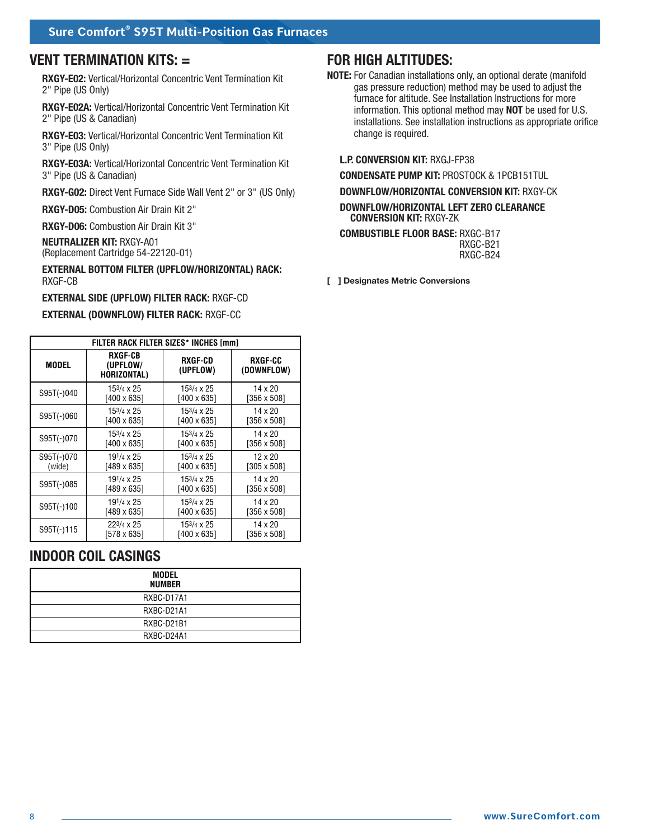## **VENT TERMINATION KITS: =**

**RXGY-E02:** Vertical/Horizontal Concentric Vent Termination Kit 2" Pipe (US Only)

**RXGY-E02A:** Vertical/Horizontal Concentric Vent Termination Kit 2" Pipe (US & Canadian)

**RXGY-E03:** Vertical/Horizontal Concentric Vent Termination Kit 3" Pipe (US Only)

**RXGY-E03A:** Vertical/Horizontal Concentric Vent Termination Kit 3" Pipe (US & Canadian)

**RXGY-G02:** Direct Vent Furnace Side Wall Vent 2" or 3" (US Only)

**RXGY-D05:** Combustion Air Drain Kit 2"

**RXGY-D06:** Combustion Air Drain Kit 3"

**NEUTRALIZER KIT:** RXGY-A01 (Replacement Cartridge 54-22120-01)

**EXTERNAL BOTTOM FILTER (UPFLOW/HORIZONTAL) RACK:** RXGF-CB

**EXTERNAL SIDE (UPFLOW) FILTER RACK:** RXGF-CD

#### **EXTERNAL (DOWNFLOW) FILTER RACK:** RXGF-CC

|              | FILTER RACK FILTER SIZES* INCHES [mm] |                      |                       |
|--------------|---------------------------------------|----------------------|-----------------------|
| MODEL        | RXGF-CB<br>(UPFLOW/<br>HORIZONTAL)    | RXGF-CD<br>(UPFLOW)  | RXGF-CC<br>(DOWNFLOW) |
| S95T(-)040   | 153/4 x 25                            | 153/4 x 25           | 14 x 20               |
|              | $[400 \times 635]$                    | $[400 \times 635]$   | $[356 \times 508]$    |
| $S95T(-)060$ | 153/4 x 25                            | 153/4 x 25           | 14 x 20               |
|              | $[400 \times 635]$                    | $[400 \times 635]$   | $[356 \times 508]$    |
| $S95T(-)070$ | 153/4 x 25                            | 153/4 x 25           | 14 x 20               |
|              | $[400 \times 635]$                    | [400 x 635]          | $[356 \times 508]$    |
| $S95T(-)070$ | 191/4 x 25                            | $15^{3/4} \times 25$ | $12 \times 20$        |
| (wide)       | [489 x 635]                           | [400 x 635]          | $[305 \times 508]$    |
| $S95T(-)085$ | 191/ <sub>4</sub> x 25                | $15^{3}/4 \times 25$ | 14 x 20               |
|              | [489 x 635]                           | $[400 \times 635]$   | $[356 \times 508]$    |
| $S95T(-)100$ | 191/4 x 25                            | $15^{3}/4 \times 25$ | $14 \times 20$        |
|              | [489 x 635]                           | [400 x 635]          | [356 x 508]           |
| $S95T(-)115$ | $22^{3/4} \times 25$                  | 153/4 x 25           | $14 \times 20$        |
|              | [578 x 635]                           | [400 x 635]          | $[356 \times 508]$    |

## **INDOOR COIL CASINGS**

| MODEL<br>NUMBER |
|-----------------|
| RXBC-D17A1      |
| RXBC-D21A1      |
| RXBC-D21B1      |
| RXBC-D24A1      |

## **FOR HIGH ALTITUDES:**

**NOTE:** For Canadian installations only, an optional derate (manifold gas pressure reduction) method may be used to adjust the furnace for altitude. See Installation Instructions for more information. This optional method may **NOT** be used for U.S. installations. See installation instructions as appropriate orifice change is required.

#### **L.P. CONVERSION KIT:** RXGJ-FP38

**CONDENSATE PUMP KIT:** PROSTOCK & 1PCB151TUL

**DOWNFLOW/HORIZONTAL CONVERSION KIT:** RXGY-CK

**DOWNFLOW/HORIZONTAL LEFT ZERO CLEARANCE CONVERSION KIT:** RXGY-ZK

**COMBUSTIBLE FLOOR BASE:** RXGC-B17 RXGC-B21 RXGC-B24

**[ ] Designates Metric Conversions**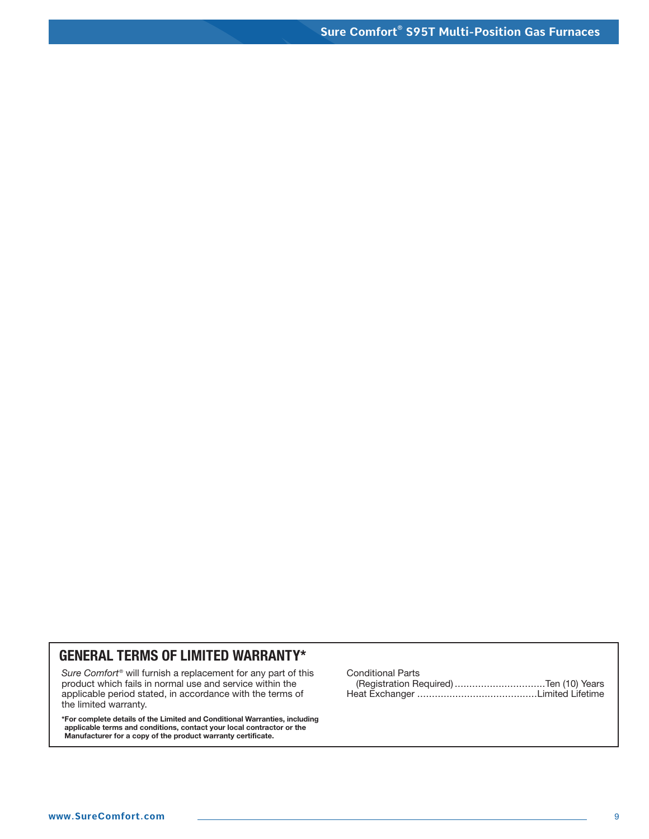# **GENERAL TERMS OF LIMITED WARRANTY\***

*Sure Comfort®* will furnish a replacement for any part of this product which fails in normal use and service within the applicable period stated, in accordance with the terms of the limited warranty.

**\*For complete details of the Limited and Conditional Warranties, including applicable terms and conditions, contact your local contractor or the Manufacturer for a copy of the product warranty certificate.**

Conditional Parts (Registration Required) ...............................Ten (10) Years Heat Exchanger .........................................Limited Lifetime